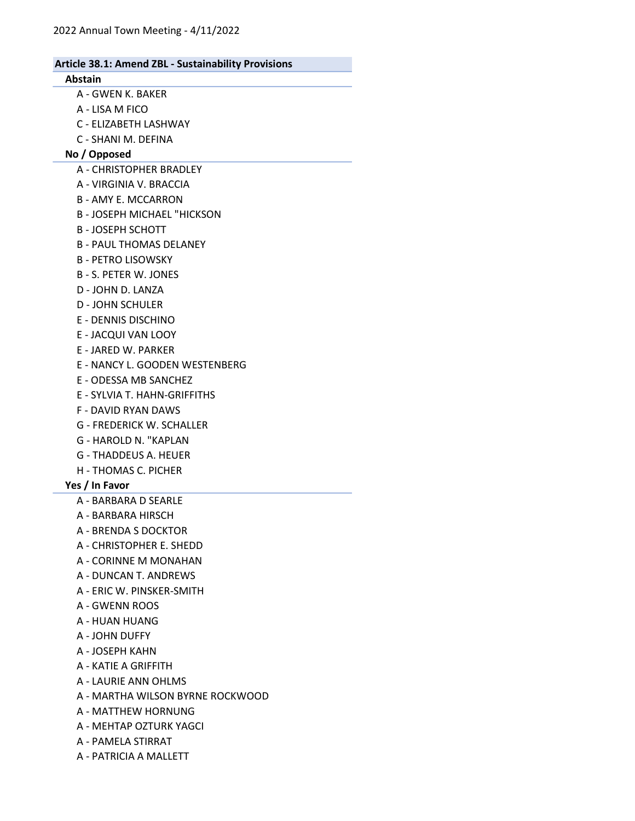## Abstain

- A GWEN K. BAKER
- A LISA M FICO
- C ELIZABETH LASHWAY
- C SHANI M. DEFINA

# No / Opposed

- A CHRISTOPHER BRADLEY
- A VIRGINIA V. BRACCIA
- B AMY E. MCCARRON
- B JOSEPH MICHAEL "HICKSON
- B JOSEPH SCHOTT
- B PAUL THOMAS DELANEY
- B PETRO LISOWSKY
- B S. PETER W. JONES
- D JOHN D. LANZA
- D JOHN SCHULER
- E DENNIS DISCHINO
- E JACQUI VAN LOOY
- E JARED W. PARKER
- E NANCY L. GOODEN WESTENBERG
- E ODESSA MB SANCHEZ
- E SYLVIA T. HAHN-GRIFFITHS
- F DAVID RYAN DAWS
- G FREDERICK W. SCHALLER
- G HAROLD N. "KAPLAN
- G THADDEUS A. HEUER
- H THOMAS C. PICHER
- Yes / In Favor
	- A BARBARA D SEARLE
	- A BARBARA HIRSCH
	- A BRENDA S DOCKTOR
	- A CHRISTOPHER E. SHEDD
	- A CORINNE M MONAHAN
	- A DUNCAN T. ANDREWS
	- A ERIC W. PINSKER-SMITH
	- A GWENN ROOS
	- A HUAN HUANG
	- A JOHN DUFFY
	- A JOSEPH KAHN
	- A KATIE A GRIFFITH
	- A LAURIE ANN OHLMS
	- A MARTHA WILSON BYRNE ROCKWOOD
	- A MATTHEW HORNUNG
	- A MEHTAP OZTURK YAGCI
	- A PAMELA STIRRAT
	- A PATRICIA A MALLETT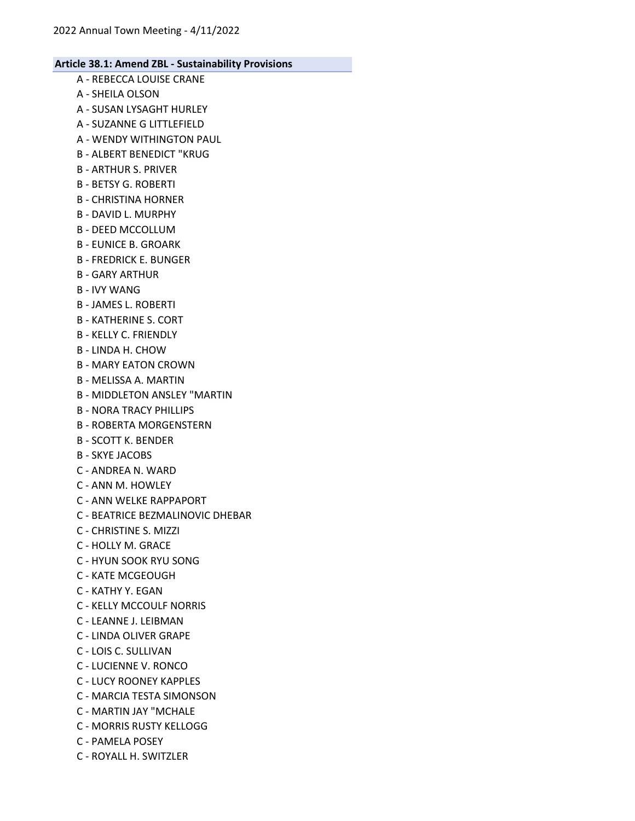- A REBECCA LOUISE CRANE A - SHEILA OLSON A - SUSAN LYSAGHT HURLEY A - SUZANNE G LITTLEFIELD A - WENDY WITHINGTON PAUL B - ALBERT BENEDICT "KRUG B - ARTHUR S. PRIVER B - BETSY G. ROBERTI B - CHRISTINA HORNER B - DAVID L. MURPHY B - DEED MCCOLLUM B - EUNICE B. GROARK B - FREDRICK E. BUNGER B - GARY ARTHUR B - IVY WANG B - JAMES L. ROBERTI B - KATHERINE S. CORT
	- B KELLY C. FRIENDLY
	- B LINDA H. CHOW
	- B MARY EATON CROWN
	- B MELISSA A. MARTIN
	- B MIDDLETON ANSLEY "MARTIN
	- B NORA TRACY PHILLIPS
	- B ROBERTA MORGENSTERN
	- B SCOTT K. BENDER
	- B SKYE JACOBS
	- C ANDREA N. WARD
	- C ANN M. HOWLEY
	- C ANN WELKE RAPPAPORT
	- C BEATRICE BEZMALINOVIC DHEBAR
	- C CHRISTINE S. MIZZI
	- C HOLLY M. GRACE
	- C HYUN SOOK RYU SONG
	- C KATE MCGEOUGH
	- C KATHY Y. EGAN
	- C KELLY MCCOULF NORRIS
	- C LEANNE J. LEIBMAN
	- C LINDA OLIVER GRAPE
	- C LOIS C. SULLIVAN
	- C LUCIENNE V. RONCO
	- C LUCY ROONEY KAPPLES
	- C MARCIA TESTA SIMONSON
	- C MARTIN JAY "MCHALE
	- C MORRIS RUSTY KELLOGG
	- C PAMELA POSEY
	- C ROYALL H. SWITZLER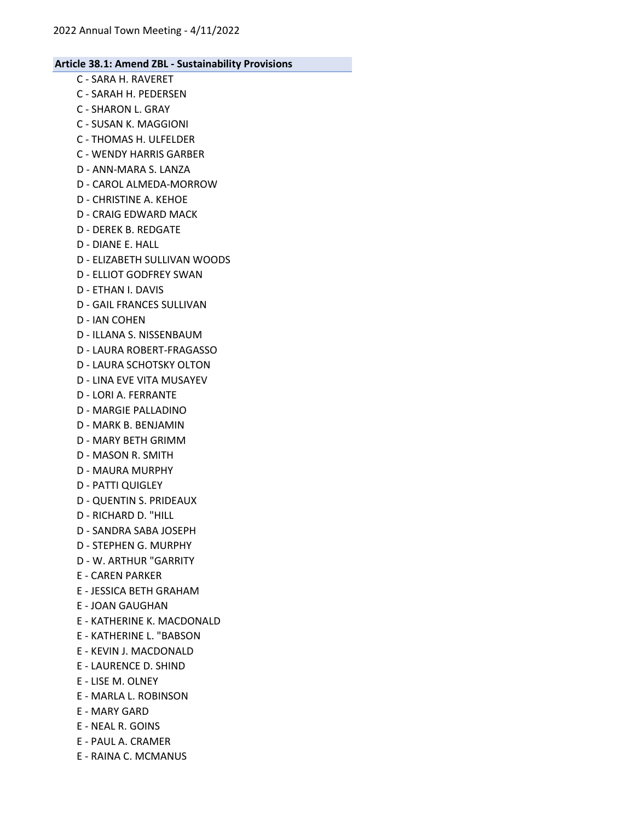- C SARA H. RAVERET
- C SARAH H. PEDERSEN
- C SHARON L. GRAY
- C SUSAN K. MAGGIONI
- C THOMAS H. ULFELDER
- C WENDY HARRIS GARBER
- D ANN-MARA S. LANZA
- D CAROL ALMEDA-MORROW
- D CHRISTINE A. KEHOE
- D CRAIG EDWARD MACK
- D DEREK B. REDGATE
- D DIANE E. HALL
- D ELIZABETH SULLIVAN WOODS
- D ELLIOT GODFREY SWAN
- D ETHAN I. DAVIS
- D GAIL FRANCES SULLIVAN
- D IAN COHEN
- D ILLANA S. NISSENBAUM
- D LAURA ROBERT-FRAGASSO
- D LAURA SCHOTSKY OLTON
- D LINA EVE VITA MUSAYEV
- D LORI A. FERRANTE
- D MARGIE PALLADINO
- D MARK B. BENJAMIN
- D MARY BETH GRIMM
- D MASON R. SMITH
- D MAURA MURPHY
- D PATTI QUIGLEY
- D QUENTIN S. PRIDEAUX
- D RICHARD D. "HILL
- D SANDRA SABA JOSEPH
- D STEPHEN G. MURPHY
- D W. ARTHUR "GARRITY
- E CAREN PARKER
- E JESSICA BETH GRAHAM
- E JOAN GAUGHAN
- E KATHERINE K. MACDONALD
- E KATHERINE L. "BABSON
- E KEVIN J. MACDONALD
- E LAURENCE D. SHIND
- E LISE M. OLNEY
- E MARLA L. ROBINSON
- E MARY GARD
- E NEAL R. GOINS
- E PAUL A. CRAMER
- E RAINA C. MCMANUS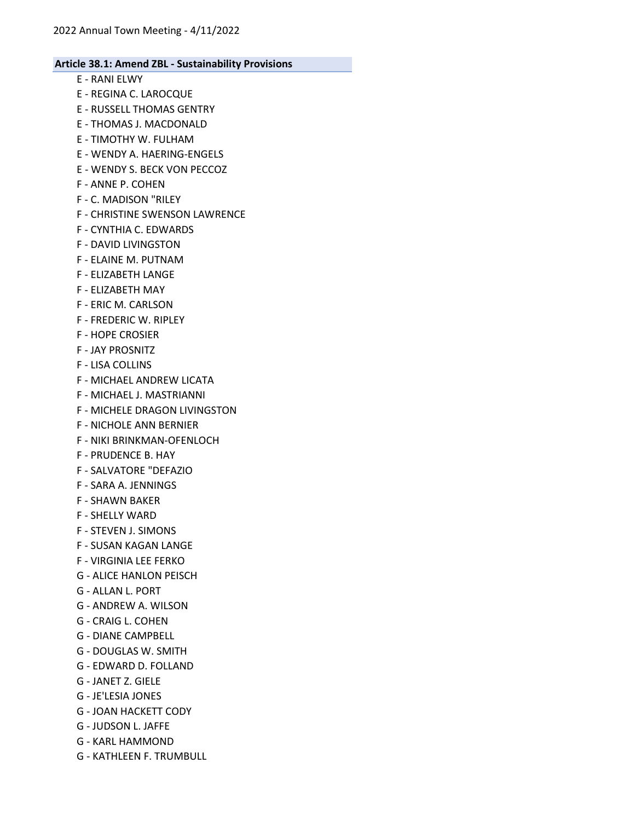- E RANI ELWY
- E REGINA C. LAROCQUE
- E RUSSELL THOMAS GENTRY
- E THOMAS J. MACDONALD
- E TIMOTHY W. FULHAM
- E WENDY A. HAERING-ENGELS
- E WENDY S. BECK VON PECCOZ
- F ANNE P. COHEN
- F C. MADISON "RILEY
- F CHRISTINE SWENSON LAWRENCE
- F CYNTHIA C. EDWARDS
- F DAVID LIVINGSTON
- F ELAINE M. PUTNAM
- F ELIZABETH LANGE
- F ELIZABETH MAY
- F ERIC M. CARLSON
- F FREDERIC W. RIPLEY
- F HOPE CROSIER
- F JAY PROSNITZ
- F LISA COLLINS
- F MICHAEL ANDREW LICATA
- F MICHAEL J. MASTRIANNI
- F MICHELE DRAGON LIVINGSTON
- F NICHOLE ANN BERNIER
- F NIKI BRINKMAN-OFENLOCH
- F PRUDENCE B. HAY
- F SALVATORE "DEFAZIO
- F SARA A. JENNINGS
- F SHAWN BAKER
- F SHELLY WARD
- F STEVEN J. SIMONS
- F SUSAN KAGAN LANGE
- F VIRGINIA LEE FERKO
- G ALICE HANLON PEISCH
- G ALLAN L. PORT
- G ANDREW A. WILSON
- G CRAIG L. COHEN
- G DIANE CAMPBELL
- G DOUGLAS W. SMITH
- G EDWARD D. FOLLAND
- G JANET Z. GIELE
- G JE'LESIA JONES
- G JOAN HACKETT CODY
- G JUDSON L. JAFFE
- G KARL HAMMOND
- G KATHLEEN F. TRUMBULL